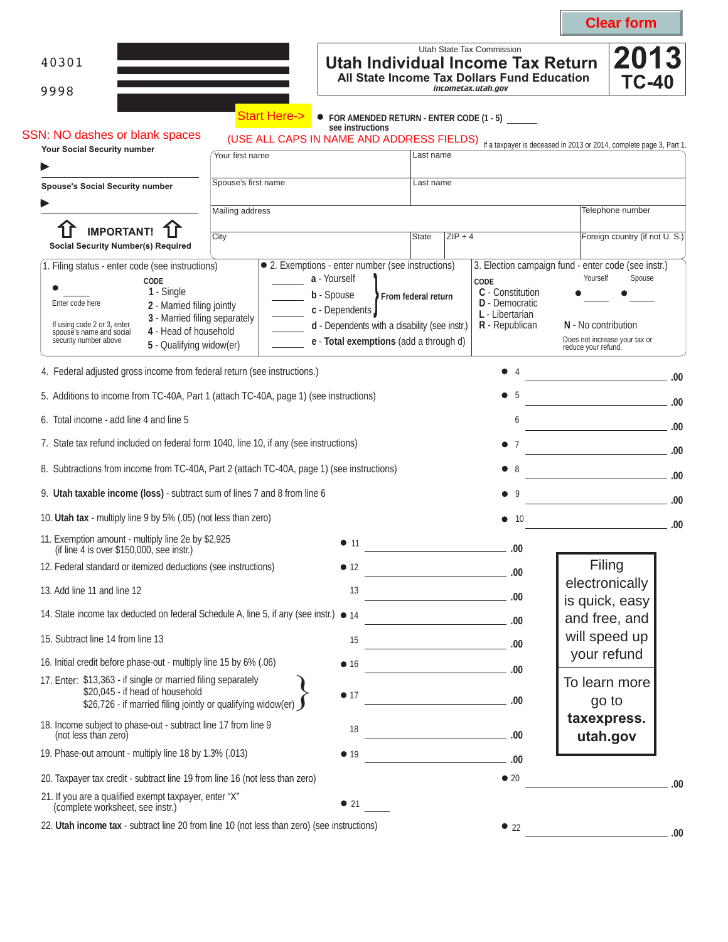|                                                                                                                                                                                                                                                                                                   |                                                                                                                                         |                                                                                                           |                                         |           |                                                                                                                                        |                                 | <b>Clear form</b>                                              |      |
|---------------------------------------------------------------------------------------------------------------------------------------------------------------------------------------------------------------------------------------------------------------------------------------------------|-----------------------------------------------------------------------------------------------------------------------------------------|-----------------------------------------------------------------------------------------------------------|-----------------------------------------|-----------|----------------------------------------------------------------------------------------------------------------------------------------|---------------------------------|----------------------------------------------------------------|------|
| 40301<br>9998                                                                                                                                                                                                                                                                                     |                                                                                                                                         |                                                                                                           |                                         |           | Utah State Tax Commission<br>Utah Individual Income Tax Return<br>All State Income Tax Dollars Fund Education<br>incometax.utah.gov    |                                 | 2013<br><b>TC-40</b>                                           |      |
| <b>SSN: NO dashes or blank spaces</b>                                                                                                                                                                                                                                                             | <b>Start Here-&gt;</b><br>(USE ALL CAPS IN NAME AND ADDRESS FIELDS) If a taxpayer is deceased in 2013 or 2014, complete page 3, Part 1. | see instructions                                                                                          |                                         |           | • FOR AMENDED RETURN - ENTER CODE (1 - 5)                                                                                              |                                 |                                                                |      |
| Your Social Security number                                                                                                                                                                                                                                                                       | Your first name                                                                                                                         |                                                                                                           | Last name                               |           |                                                                                                                                        |                                 |                                                                |      |
| <b>Spouse's Social Security number</b>                                                                                                                                                                                                                                                            | Spouse's first name                                                                                                                     |                                                                                                           | Last name                               |           |                                                                                                                                        |                                 |                                                                |      |
| <b>IMPORTANT!</b><br>City<br><b>Social Security Number(s) Required</b>                                                                                                                                                                                                                            | Mailing address                                                                                                                         |                                                                                                           | <b>State</b>                            | $ZIP + 4$ |                                                                                                                                        |                                 | Telephone number<br>Foreign country (if not U.S.)              |      |
| 1. Filing status - enter code (see instructions)<br>CODE<br>1 - Single<br>Enter code here<br>2 - Married filing jointly<br>3 - Married filing separately<br>If using code 2 or 3, enter<br>4 - Head of household<br>spouse's name and social<br>security number above<br>5 - Qualifying widow(er) | • 2. Exemptions - enter number (see instructions)<br>a - Yourself<br>b - Spouse                                                         | c - Dependents<br>d - Dependents with a disability (see instr.)<br>e - Total exemptions (add a through d) | From federal return                     |           | 3. Election campaign fund - enter code (see instr.)<br>CODE<br>C - Constitution<br>D - Democratic<br>L - Libertarian<br>R - Republican | Yourself<br>N - No contribution | Spouse<br>Does not increase your tax or<br>reduce your refund. |      |
| 4. Federal adjusted gross income from federal return (see instructions.)                                                                                                                                                                                                                          |                                                                                                                                         |                                                                                                           |                                         |           | $\bullet$<br>4                                                                                                                         |                                 |                                                                | .00. |
| 5. Additions to income from TC-40A, Part 1 (attach TC-40A, page 1) (see instructions)                                                                                                                                                                                                             |                                                                                                                                         |                                                                                                           |                                         |           | ●                                                                                                                                      |                                 |                                                                | .00  |
| 6. Total income - add line 4 and line 5                                                                                                                                                                                                                                                           |                                                                                                                                         |                                                                                                           |                                         |           | 6                                                                                                                                      |                                 |                                                                | .00  |
| 7. State tax refund included on federal form 1040, line 10, if any (see instructions)                                                                                                                                                                                                             |                                                                                                                                         |                                                                                                           |                                         |           | $\bullet$                                                                                                                              |                                 | the control of the control of the control of                   | .00. |
| 8. Subtractions from income from TC-40A, Part 2 (attach TC-40A, page 1) (see instructions)                                                                                                                                                                                                        |                                                                                                                                         |                                                                                                           |                                         |           |                                                                                                                                        |                                 |                                                                |      |
| 9. Utah taxable income (loss) - subtract sum of lines 7 and 8 from line 6                                                                                                                                                                                                                         |                                                                                                                                         |                                                                                                           |                                         |           | -9                                                                                                                                     |                                 |                                                                |      |
| 10. Utah tax - multiply line 9 by 5% (.05) (not less than zero)                                                                                                                                                                                                                                   |                                                                                                                                         |                                                                                                           |                                         |           | - 10                                                                                                                                   |                                 |                                                                | .00  |
| 11. Exemption amount - multiply line 2e by \$2,925<br>(if line 4 is over \$150,000, see instr.)                                                                                                                                                                                                   |                                                                                                                                         | • 11                                                                                                      |                                         |           | .00                                                                                                                                    |                                 |                                                                |      |
| 12. Federal standard or itemized deductions (see instructions)                                                                                                                                                                                                                                    |                                                                                                                                         | • 12                                                                                                      |                                         |           |                                                                                                                                        |                                 | Filing                                                         |      |
| 13. Add line 11 and line 12                                                                                                                                                                                                                                                                       |                                                                                                                                         | 13                                                                                                        | <u> 1989 - Johann Barbara, martxa a</u> |           | .00                                                                                                                                    |                                 | electronically                                                 |      |
| 14. State income tax deducted on federal Schedule A, line 5, if any (see instr.) ● 14                                                                                                                                                                                                             |                                                                                                                                         |                                                                                                           |                                         |           | $\sim$ 00                                                                                                                              |                                 | is quick, easy<br>and free, and                                |      |
| 15. Subtract line 14 from line 13                                                                                                                                                                                                                                                                 |                                                                                                                                         | 15                                                                                                        | <u> 1980 - Johann Barbara, martxa a</u> |           | .00                                                                                                                                    |                                 | will speed up                                                  |      |
| 16. Initial credit before phase-out - multiply line 15 by 6% (.06)                                                                                                                                                                                                                                |                                                                                                                                         | $\bullet$ 16                                                                                              |                                         |           | .00                                                                                                                                    |                                 | your refund                                                    |      |
| 17. Enter: \$13,363 - if single or married filing separately<br>\$20,045 - if head of household<br>\$26,726 - if married filing jointly or qualifying widow(er)                                                                                                                                   |                                                                                                                                         | • 17                                                                                                      |                                         |           | .00                                                                                                                                    |                                 | To learn more<br>go to                                         |      |
| 18. Income subject to phase-out - subtract line 17 from line 9<br>(not less than zero)                                                                                                                                                                                                            |                                                                                                                                         | 18                                                                                                        |                                         |           | $\sim$ 00.                                                                                                                             |                                 | taxexpress.<br>utah.gov                                        |      |
| 19. Phase-out amount - multiply line 18 by 1.3% (.013)                                                                                                                                                                                                                                            |                                                                                                                                         | • 19                                                                                                      |                                         |           | .00                                                                                                                                    |                                 |                                                                |      |
| 20. Taxpayer tax credit - subtract line 19 from line 16 (not less than zero)                                                                                                                                                                                                                      |                                                                                                                                         |                                                                                                           |                                         |           | $\bullet$ 20                                                                                                                           |                                 |                                                                | .00  |
| 21. If you are a qualified exempt taxpayer, enter "X"<br>(complete worksheet, see instr.)                                                                                                                                                                                                         |                                                                                                                                         | $\bullet$ 21                                                                                              |                                         |           |                                                                                                                                        |                                 |                                                                |      |
| 22. Utah income tax - subtract line 20 from line 10 (not less than zero) (see instructions)                                                                                                                                                                                                       |                                                                                                                                         |                                                                                                           |                                         |           | $\bullet$ 22                                                                                                                           |                                 |                                                                | .00. |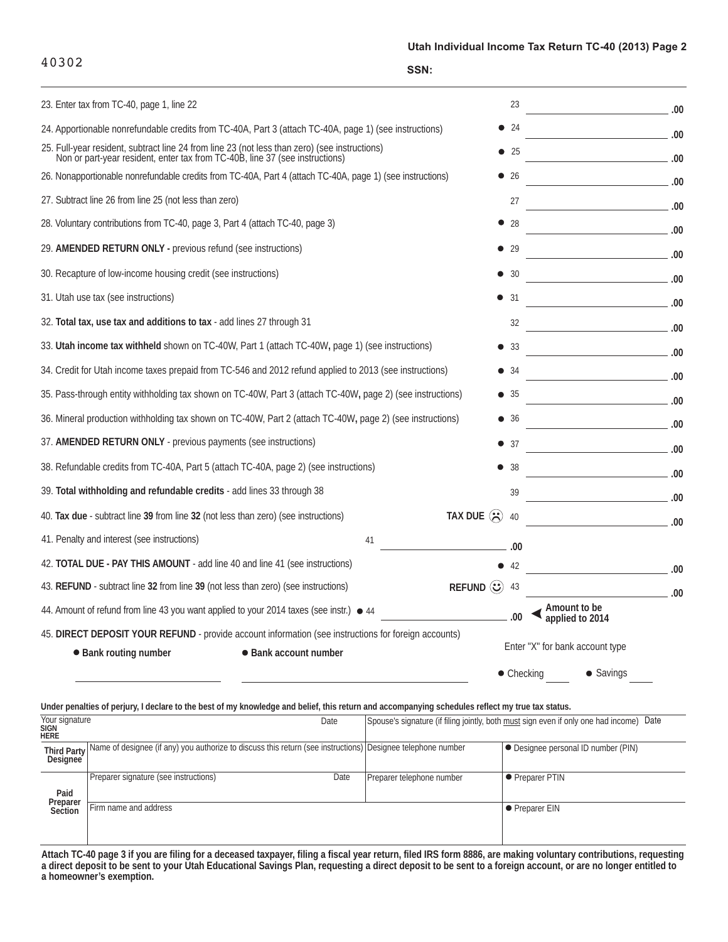40302

| 23. Enter tax from TC-40, page 1, line 22                                                                                                                                     |                                                   | 23                 |                                         | .00    |
|-------------------------------------------------------------------------------------------------------------------------------------------------------------------------------|---------------------------------------------------|--------------------|-----------------------------------------|--------|
| 24. Apportionable nonrefundable credits from TC-40A, Part 3 (attach TC-40A, page 1) (see instructions)                                                                        | $\bullet$                                         | 24                 | $\sim$ 00.                              |        |
| 25. Full-year resident, subtract line 24 from line 23 (not less than zero) (see instructions)<br>Non or part-year resident, enter tax from TC-40B, line 37 (see instructions) | $\bullet$                                         | -25                | 00.                                     |        |
| 26. Nonapportionable nonrefundable credits from TC-40A, Part 4 (attach TC-40A, page 1) (see instructions)                                                                     |                                                   | $\bullet$ 26       | $\sim$ 00.                              |        |
| 27. Subtract line 26 from line 25 (not less than zero)                                                                                                                        |                                                   | 27                 | 00 <sup>1</sup>                         |        |
| 28. Voluntary contributions from TC-40, page 3, Part 4 (attach TC-40, page 3)                                                                                                 |                                                   | 28                 |                                         |        |
| 29. AMENDED RETURN ONLY - previous refund (see instructions)                                                                                                                  |                                                   | -29                |                                         |        |
| 30. Recapture of low-income housing credit (see instructions)                                                                                                                 |                                                   | -30                |                                         | .00    |
| 31. Utah use tax (see instructions)                                                                                                                                           |                                                   | -31                |                                         | .00    |
| 32. Total tax, use tax and additions to tax - add lines 27 through 31                                                                                                         |                                                   | 32                 | <u> 1989 - Johann Barbara, martxa a</u> | $-.00$ |
| 33. Utah income tax withheld shown on TC-40W, Part 1 (attach TC-40W, page 1) (see instructions)                                                                               |                                                   | 33                 | $\sim$ 00                               |        |
| 34. Credit for Utah income taxes prepaid from TC-546 and 2012 refund applied to 2013 (see instructions)                                                                       | $\bullet$                                         | -34                |                                         |        |
| 35. Pass-through entity withholding tax shown on TC-40W, Part 3 (attach TC-40W, page 2) (see instructions)                                                                    | $\bullet$                                         | - 35               |                                         |        |
| 36. Mineral production withholding tax shown on TC-40W, Part 2 (attach TC-40W, page 2) (see instructions)                                                                     | $\bullet$                                         | -36                |                                         | .00    |
| 37. AMENDED RETURN ONLY - previous payments (see instructions)                                                                                                                | $\bullet$                                         | -37                |                                         |        |
| 38. Refundable credits from TC-40A, Part 5 (attach TC-40A, page 2) (see instructions)                                                                                         |                                                   | -38                |                                         |        |
| 39. Total withholding and refundable credits - add lines 33 through 38                                                                                                        |                                                   | 39                 |                                         |        |
| 40. Tax due - subtract line 39 from line 32 (not less than zero) (see instructions)                                                                                           | TAX DUE $\left\langle \right\rangle$              | 40                 | .00                                     |        |
| 41. Penalty and interest (see instructions)<br>41                                                                                                                             |                                                   | .00                |                                         |        |
| 42. TOTAL DUE - PAY THIS AMOUNT - add line 40 and line 41 (see instructions)                                                                                                  |                                                   |                    |                                         |        |
| 43. REFUND - subtract line 32 from line 39 (not less than zero) (see instructions)                                                                                            | REFUND $\left\langle \mathbf{\cdot}\right\rangle$ | 43                 | $\sim$ 00                               |        |
| 44. Amount of refund from line 43 you want applied to your 2014 taxes (see instr.) $\bullet$ 44                                                                               |                                                   |                    | Amount to be<br>applied to 2014         |        |
| 45. DIRECT DEPOSIT YOUR REFUND - provide account information (see instructions for foreign accounts)                                                                          |                                                   |                    |                                         |        |
| • Bank routing number<br>• Bank account number                                                                                                                                |                                                   |                    | Enter "X" for bank account type         |        |
|                                                                                                                                                                               |                                                   | $\bullet$ Checking | $\bullet$ Savings                       |        |

|                                              | Under penalties of perjury, I declare to the best of my knowledge and belief, this return and accompanying schedules reflect my true tax status. |                           |                                                                                            |
|----------------------------------------------|--------------------------------------------------------------------------------------------------------------------------------------------------|---------------------------|--------------------------------------------------------------------------------------------|
| Your signature<br><b>SIGN</b><br><b>HERE</b> | Date                                                                                                                                             |                           | Spouse's signature (if filing jointly, both must sign even if only one had income)<br>Date |
| <b>Third Party</b><br><b>Designee</b>        | Name of designee (if any) you authorize to discuss this return (see instructions) Designee telephone number                                      |                           | • Designee personal ID number (PIN)                                                        |
| Paid                                         | Preparer signature (see instructions)<br>Date                                                                                                    | Preparer telephone number | • Preparer PTIN                                                                            |
| Preparer<br>Section                          | Firm name and address                                                                                                                            |                           | • Preparer EIN                                                                             |

**Attach TC-40 page 3 if you are filing for a deceased taxpayer, filing a fiscal year return, filed IRS form 8886, are making voluntary contributions, requesting** a direct deposit to be sent to your Utah Educational Savings Plan, requesting a direct deposit to be sent to a foreign account, or are no longer entitled to **a homeowner's exemption. requesting a direct deposit to be sent to a foreign account, or**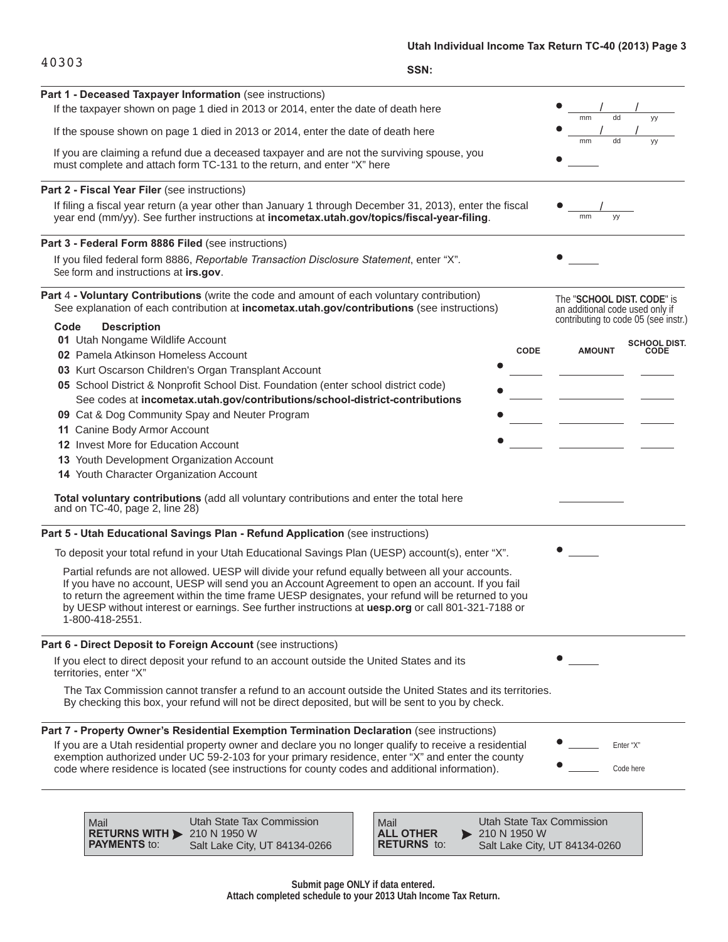## **Utah Individual Income Tax Return TC-40 (2013) Page 3**

|       | Utan Individual I |
|-------|-------------------|
| 40303 |                   |
|       | SSN:              |

| Part 1 - Deceased Taxpayer Information (see instructions)                                                                                                                                                                                                                                                                                                                                                                          |                                                                                                       |
|------------------------------------------------------------------------------------------------------------------------------------------------------------------------------------------------------------------------------------------------------------------------------------------------------------------------------------------------------------------------------------------------------------------------------------|-------------------------------------------------------------------------------------------------------|
| If the taxpayer shown on page 1 died in 2013 or 2014, enter the date of death here                                                                                                                                                                                                                                                                                                                                                 | mm                                                                                                    |
| If the spouse shown on page 1 died in 2013 or 2014, enter the date of death here                                                                                                                                                                                                                                                                                                                                                   | dd                                                                                                    |
| If you are claiming a refund due a deceased taxpayer and are not the surviving spouse, you<br>must complete and attach form TC-131 to the return, and enter "X" here                                                                                                                                                                                                                                                               | mm<br>уу                                                                                              |
| Part 2 - Fiscal Year Filer (see instructions)                                                                                                                                                                                                                                                                                                                                                                                      |                                                                                                       |
| If filing a fiscal year return (a year other than January 1 through December 31, 2013), enter the fiscal<br>year end (mm/yy). See further instructions at incometax.utah.gov/topics/fiscal-year-filing.                                                                                                                                                                                                                            | mm<br>уу                                                                                              |
| Part 3 - Federal Form 8886 Filed (see instructions)                                                                                                                                                                                                                                                                                                                                                                                |                                                                                                       |
| If you filed federal form 8886, Reportable Transaction Disclosure Statement, enter "X".<br>See form and instructions at irs.gov.                                                                                                                                                                                                                                                                                                   |                                                                                                       |
| Part 4 - Voluntary Contributions (write the code and amount of each voluntary contribution)<br>See explanation of each contribution at incometax.utah.gov/contributions (see instructions)                                                                                                                                                                                                                                         | The "SCHOOL DIST. CODE" is<br>an additional code used only if<br>contributing to code 05 (see instr.) |
| Code<br><b>Description</b><br>01 Utah Nongame Wildlife Account                                                                                                                                                                                                                                                                                                                                                                     |                                                                                                       |
| 02 Pamela Atkinson Homeless Account                                                                                                                                                                                                                                                                                                                                                                                                | <b>SCHOOL DIST.</b><br><b>CODE</b><br><b>AMOUNT</b><br><b>CODE</b>                                    |
| 03 Kurt Oscarson Children's Organ Transplant Account                                                                                                                                                                                                                                                                                                                                                                               |                                                                                                       |
| 05 School District & Nonprofit School Dist. Foundation (enter school district code)                                                                                                                                                                                                                                                                                                                                                |                                                                                                       |
| See codes at incometax.utah.gov/contributions/school-district-contributions                                                                                                                                                                                                                                                                                                                                                        |                                                                                                       |
| 09 Cat & Dog Community Spay and Neuter Program                                                                                                                                                                                                                                                                                                                                                                                     |                                                                                                       |
| 11 Canine Body Armor Account                                                                                                                                                                                                                                                                                                                                                                                                       |                                                                                                       |
| 12 Invest More for Education Account                                                                                                                                                                                                                                                                                                                                                                                               |                                                                                                       |
| 13 Youth Development Organization Account                                                                                                                                                                                                                                                                                                                                                                                          |                                                                                                       |
| 14 Youth Character Organization Account                                                                                                                                                                                                                                                                                                                                                                                            |                                                                                                       |
| Total voluntary contributions (add all voluntary contributions and enter the total here<br>and on TC-40, page 2, line 28)                                                                                                                                                                                                                                                                                                          |                                                                                                       |
| Part 5 - Utah Educational Savings Plan - Refund Application (see instructions)                                                                                                                                                                                                                                                                                                                                                     |                                                                                                       |
| To deposit your total refund in your Utah Educational Savings Plan (UESP) account(s), enter "X".                                                                                                                                                                                                                                                                                                                                   |                                                                                                       |
| Partial refunds are not allowed. UESP will divide your refund equally between all your accounts.<br>If you have no account, UESP will send you an Account Agreement to open an account. If you fail<br>to return the agreement within the time frame UESP designates, your refund will be returned to you<br>by UESP without interest or earnings. See further instructions at uesp.org or call 801-321-7188 or<br>1-800-418-2551. |                                                                                                       |
| Part 6 - Direct Deposit to Foreign Account (see instructions)                                                                                                                                                                                                                                                                                                                                                                      |                                                                                                       |
| If you elect to direct deposit your refund to an account outside the United States and its<br>territories, enter "X"                                                                                                                                                                                                                                                                                                               |                                                                                                       |
| The Tax Commission cannot transfer a refund to an account outside the United States and its territories.<br>By checking this box, your refund will not be direct deposited, but will be sent to you by check.                                                                                                                                                                                                                      |                                                                                                       |
| Part 7 - Property Owner's Residential Exemption Termination Declaration (see instructions)                                                                                                                                                                                                                                                                                                                                         |                                                                                                       |
|                                                                                                                                                                                                                                                                                                                                                                                                                                    | Enter "X"                                                                                             |
| If you are a Utah residential property owner and declare you no longer qualify to receive a residential<br>exemption authorized under UC 59-2-103 for your primary residence, enter "X" and enter the county                                                                                                                                                                                                                       |                                                                                                       |

to: **RETURNS WITH PAYMENTS** Utah State Tax Commission 210 N 1950 W Salt Lake City, UT 84134-0266

Mail

Mail to: **ALL OTHER RETURNS** Utah State Tax Commission 210 N 1950 W Salt Lake City, UT 84134-0260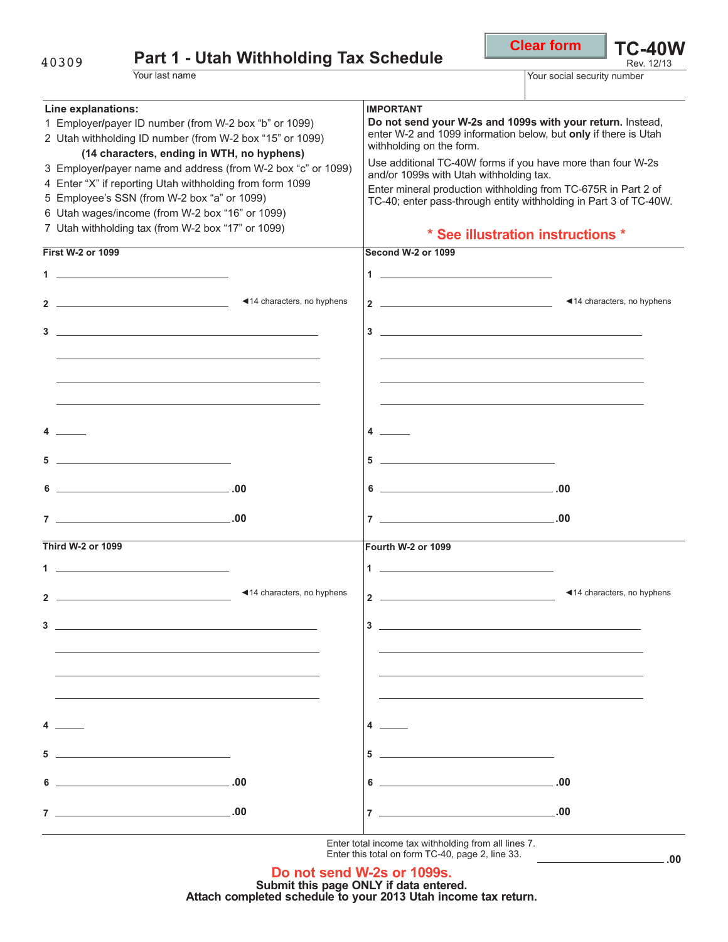|                                                                                                                                                                                                                                                                                                                                                                                                                                                                                | <b>Clear form</b>                                                                                             | <b>TC-40W</b><br>Rev. 12/13                                                                                                                                                                                                                                                                                                                                                                                                                                                                                                                                                                                                                                                                                                                                                                                                                                                                                                                                                                                                                                                                                                                                                                                                                                                                                                                                                                                           |
|--------------------------------------------------------------------------------------------------------------------------------------------------------------------------------------------------------------------------------------------------------------------------------------------------------------------------------------------------------------------------------------------------------------------------------------------------------------------------------|---------------------------------------------------------------------------------------------------------------|-----------------------------------------------------------------------------------------------------------------------------------------------------------------------------------------------------------------------------------------------------------------------------------------------------------------------------------------------------------------------------------------------------------------------------------------------------------------------------------------------------------------------------------------------------------------------------------------------------------------------------------------------------------------------------------------------------------------------------------------------------------------------------------------------------------------------------------------------------------------------------------------------------------------------------------------------------------------------------------------------------------------------------------------------------------------------------------------------------------------------------------------------------------------------------------------------------------------------------------------------------------------------------------------------------------------------------------------------------------------------------------------------------------------------|
|                                                                                                                                                                                                                                                                                                                                                                                                                                                                                |                                                                                                               |                                                                                                                                                                                                                                                                                                                                                                                                                                                                                                                                                                                                                                                                                                                                                                                                                                                                                                                                                                                                                                                                                                                                                                                                                                                                                                                                                                                                                       |
| <b>IMPORTANT</b>                                                                                                                                                                                                                                                                                                                                                                                                                                                               |                                                                                                               |                                                                                                                                                                                                                                                                                                                                                                                                                                                                                                                                                                                                                                                                                                                                                                                                                                                                                                                                                                                                                                                                                                                                                                                                                                                                                                                                                                                                                       |
| <b>Second W-2 or 1099</b>                                                                                                                                                                                                                                                                                                                                                                                                                                                      |                                                                                                               |                                                                                                                                                                                                                                                                                                                                                                                                                                                                                                                                                                                                                                                                                                                                                                                                                                                                                                                                                                                                                                                                                                                                                                                                                                                                                                                                                                                                                       |
|                                                                                                                                                                                                                                                                                                                                                                                                                                                                                |                                                                                                               |                                                                                                                                                                                                                                                                                                                                                                                                                                                                                                                                                                                                                                                                                                                                                                                                                                                                                                                                                                                                                                                                                                                                                                                                                                                                                                                                                                                                                       |
|                                                                                                                                                                                                                                                                                                                                                                                                                                                                                |                                                                                                               |                                                                                                                                                                                                                                                                                                                                                                                                                                                                                                                                                                                                                                                                                                                                                                                                                                                                                                                                                                                                                                                                                                                                                                                                                                                                                                                                                                                                                       |
|                                                                                                                                                                                                                                                                                                                                                                                                                                                                                |                                                                                                               |                                                                                                                                                                                                                                                                                                                                                                                                                                                                                                                                                                                                                                                                                                                                                                                                                                                                                                                                                                                                                                                                                                                                                                                                                                                                                                                                                                                                                       |
|                                                                                                                                                                                                                                                                                                                                                                                                                                                                                |                                                                                                               |                                                                                                                                                                                                                                                                                                                                                                                                                                                                                                                                                                                                                                                                                                                                                                                                                                                                                                                                                                                                                                                                                                                                                                                                                                                                                                                                                                                                                       |
| Fourth W-2 or 1099<br>$1 -$                                                                                                                                                                                                                                                                                                                                                                                                                                                    |                                                                                                               |                                                                                                                                                                                                                                                                                                                                                                                                                                                                                                                                                                                                                                                                                                                                                                                                                                                                                                                                                                                                                                                                                                                                                                                                                                                                                                                                                                                                                       |
| 4 $-$<br>$5$ $\overline{\phantom{a}}$ $\overline{\phantom{a}}$ $\overline{\phantom{a}}$ $\overline{\phantom{a}}$ $\overline{\phantom{a}}$ $\overline{\phantom{a}}$ $\overline{\phantom{a}}$ $\overline{\phantom{a}}$ $\overline{\phantom{a}}$ $\overline{\phantom{a}}$ $\overline{\phantom{a}}$ $\overline{\phantom{a}}$ $\overline{\phantom{a}}$ $\overline{\phantom{a}}$ $\overline{\phantom{a}}$ $\overline{\phantom{a}}$ $\overline{\phantom{a}}$ $\overline{\phantom{a}}$ |                                                                                                               |                                                                                                                                                                                                                                                                                                                                                                                                                                                                                                                                                                                                                                                                                                                                                                                                                                                                                                                                                                                                                                                                                                                                                                                                                                                                                                                                                                                                                       |
|                                                                                                                                                                                                                                                                                                                                                                                                                                                                                | <b>Part 1 - Utah Withholding Tax Schedule</b><br>3 Employer/payer name and address (from W-2 box "c" or 1099) | Your social security number<br>Do not send your W-2s and 1099s with your return. Instead,<br>enter W-2 and 1099 information below, but only if there is Utah<br>withholding on the form.<br>Use additional TC-40W forms if you have more than four W-2s<br>and/or 1099s with Utah withholding tax.<br>Enter mineral production withholding from TC-675R in Part 2 of<br>TC-40; enter pass-through entity withholding in Part 3 of TC-40W.<br>* See illustration instructions *<br><14 characters, no hyphens<br>2 $\overline{\phantom{a}}$<br>$\begin{tabular}{c} 5 \end{tabular}$<br>$\begin{array}{c c c c c} \hline \multicolumn{3}{c }{\textbf{6}} & \multicolumn{3}{c }{\textbf{5}} \\ \hline \multicolumn{3}{c }{\textbf{6}} & \multicolumn{3}{c }{\textbf{6}} \\ \hline \multicolumn{3}{c }{\textbf{6}} & \multicolumn{3}{c }{\textbf{6}} \\ \hline \multicolumn{3}{c }{\textbf{7}} & \multicolumn{3}{c }{\textbf{8}} \\ \hline \multicolumn{3}{c }{\textbf{7}} & \multicolumn{3}{c }{\textbf{8}} \\ \hline \multicolumn{3}{c }{\textbf{8}} &$<br>$\begin{array}{c}\n7 \end{array}$<br>◀14 characters, no hyphens<br>$2 \overline{\phantom{a}}$<br>$3 \overline{\phantom{a}}$<br>the control of the control of the control of the control of the control of the control of the control of the control of the control of the control of the control of the control of the control of the control of the control |

**Do not send W-2s or 1099s. Submit this page ONLY if data entered. Attach completed schedule to your 2013 Utah income tax return.**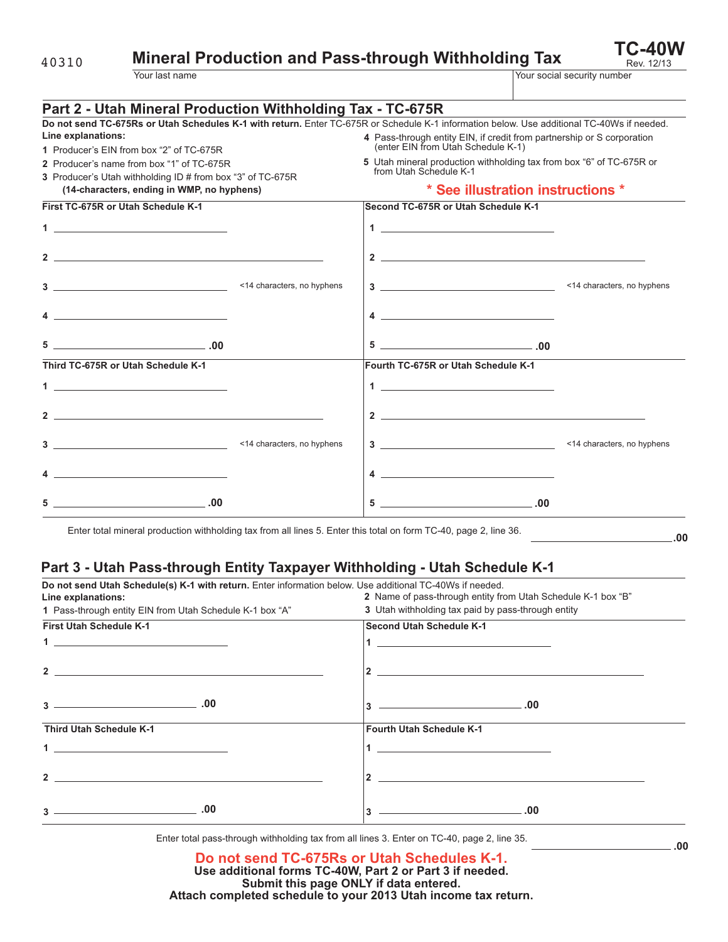**Mineral Production and Pass-through Withholding Tax** 

**TC-40W**

| <b>Mineral Production and Pass-through Withholding Tax</b><br>40310 |                                                                                                                                                                                        |                                                                                                                                     |                             |
|---------------------------------------------------------------------|----------------------------------------------------------------------------------------------------------------------------------------------------------------------------------------|-------------------------------------------------------------------------------------------------------------------------------------|-----------------------------|
|                                                                     | Your last name                                                                                                                                                                         |                                                                                                                                     | Your social security number |
|                                                                     | Part 2 - Utah Mineral Production Withholding Tax - TC-675R                                                                                                                             |                                                                                                                                     |                             |
| Line explanations:                                                  | Do not send TC-675Rs or Utah Schedules K-1 with return. Enter TC-675R or Schedule K-1 information below. Use additional TC-40Ws if needed.<br>1 Producer's EIN from box "2" of TC-675R | 4 Pass-through entity EIN, if credit from partnership or S corporation<br>(enter EIN from Utah Schedule K-1)                        |                             |
|                                                                     | 2 Producer's name from box "1" of TC-675R<br>3 Producer's Utah withholding ID # from box "3" of TC-675R<br>(14-characters, ending in WMP, no hyphens)                                  | 5 Utah mineral production withholding tax from box "6" of TC-675R or<br>from Utah Schedule K-1<br>* See illustration instructions * |                             |
|                                                                     | First TC-675R or Utah Schedule K-1                                                                                                                                                     | Second TC-675R or Utah Schedule K-1                                                                                                 |                             |
|                                                                     |                                                                                                                                                                                        |                                                                                                                                     |                             |
|                                                                     |                                                                                                                                                                                        | $2 \overline{ }$                                                                                                                    |                             |
|                                                                     |                                                                                                                                                                                        |                                                                                                                                     |                             |
|                                                                     | $4 \overline{\phantom{a}}$                                                                                                                                                             | $4 \overline{\phantom{a}}$                                                                                                          |                             |
|                                                                     | $\begin{array}{c c c c} \hline \texttt{5} & \texttt{} & \texttt{} \\ \hline \end{array}$                                                                                               | $\begin{array}{c c} 5 & \textbf{---} & \textbf{00} \end{array}$                                                                     |                             |
|                                                                     | Third TC-675R or Utah Schedule K-1                                                                                                                                                     | Fourth TC-675R or Utah Schedule K-1                                                                                                 |                             |
|                                                                     |                                                                                                                                                                                        |                                                                                                                                     |                             |
|                                                                     | $2 \overline{ }$                                                                                                                                                                       |                                                                                                                                     |                             |
|                                                                     |                                                                                                                                                                                        |                                                                                                                                     |                             |

Enter total mineral production withholding tax from all lines 5. Enter this total on form TC-40, page 2, line 36.

**4**

**5**

#### **.00**

### **Part 3 - Utah Pass-through Entity Taxpayer Withholding - Utah Schedule K-1**

| Do not send Utah Schedule(s) K-1 with return. Enter information below. Use additional TC-40Ws if needed.                                                                                                                                                                                                                                                                                                            |                                                              |
|---------------------------------------------------------------------------------------------------------------------------------------------------------------------------------------------------------------------------------------------------------------------------------------------------------------------------------------------------------------------------------------------------------------------|--------------------------------------------------------------|
| Line explanations:                                                                                                                                                                                                                                                                                                                                                                                                  | 2 Name of pass-through entity from Utah Schedule K-1 box "B" |
| 1 Pass-through entity EIN from Utah Schedule K-1 box "A"                                                                                                                                                                                                                                                                                                                                                            | 3 Utah withholding tax paid by pass-through entity           |
| <b>First Utah Schedule K-1</b>                                                                                                                                                                                                                                                                                                                                                                                      | <b>Second Utah Schedule K-1</b>                              |
| <u>1 ___________________________</u>                                                                                                                                                                                                                                                                                                                                                                                |                                                              |
|                                                                                                                                                                                                                                                                                                                                                                                                                     | $2 \left( \frac{1}{2} \right)$                               |
|                                                                                                                                                                                                                                                                                                                                                                                                                     | $\sim$ 00 $\sim$<br>3                                        |
| <b>Third Utah Schedule K-1</b>                                                                                                                                                                                                                                                                                                                                                                                      | <b>Fourth Utah Schedule K-1</b>                              |
| $\mathbf 1$                                                                                                                                                                                                                                                                                                                                                                                                         | $\mathbf 1$                                                  |
| 2 and $\overline{\phantom{a}}$ and $\overline{\phantom{a}}$ and $\overline{\phantom{a}}$ and $\overline{\phantom{a}}$ and $\overline{\phantom{a}}$ and $\overline{\phantom{a}}$ and $\overline{\phantom{a}}$ and $\overline{\phantom{a}}$ and $\overline{\phantom{a}}$ and $\overline{\phantom{a}}$ and $\overline{\phantom{a}}$ and $\overline{\phantom{a}}$ and $\overline{\phantom{a}}$ and $\overline{\phantom$ | $\mathbf{2}$                                                 |
|                                                                                                                                                                                                                                                                                                                                                                                                                     | $\sim$ 00 $\sim$ 00 $\sim$<br>3                              |

**4**

**5**

**.00 .00**

Enter total pass-through withholding tax from all lines 3. Enter on TC-40, page 2, line 35.

#### **Do not send TC-675Rs or Utah Schedules K-1. Use additional forms TC-40W, Part 2 or Part 3 if needed. Submit this page ONLY if data entered. Attach completed schedule to your 2013 Utah income tax return.**

| ۰.               |             |
|------------------|-------------|
| ×<br>I<br>$\sim$ | I<br>$\sim$ |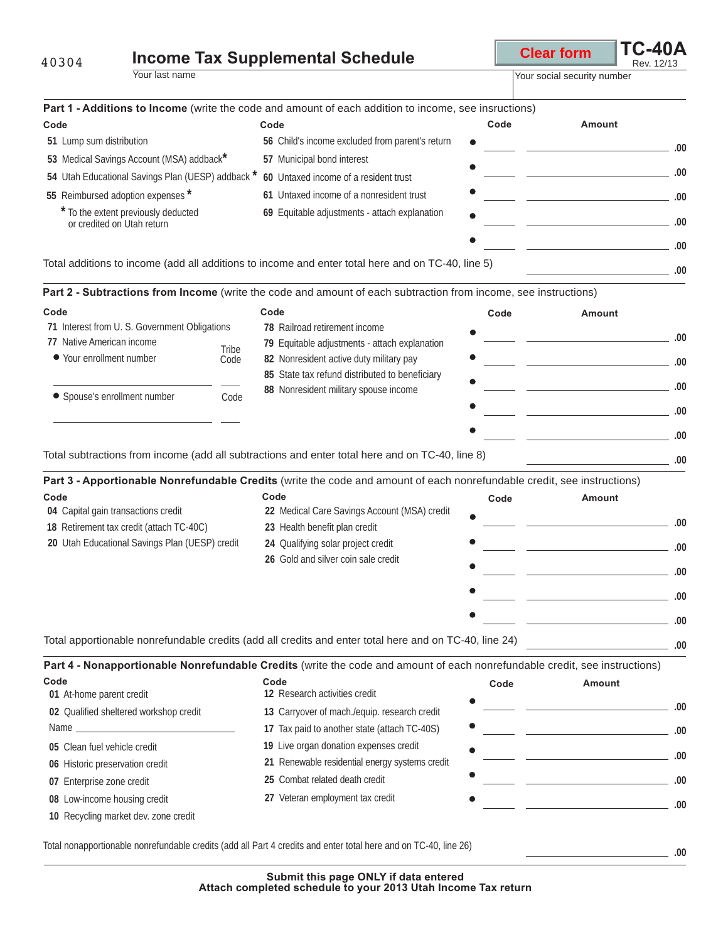| 40304                                                             | <b>Income Tax Supplemental Schedule</b>                                                                                    |      | <b>Clear form</b>                                                                                  | <b>TC-40A</b><br>Rev. 12/13 |
|-------------------------------------------------------------------|----------------------------------------------------------------------------------------------------------------------------|------|----------------------------------------------------------------------------------------------------|-----------------------------|
| Your last name                                                    |                                                                                                                            |      | Your social security number                                                                        |                             |
|                                                                   | Part 1 - Additions to Income (write the code and amount of each addition to income, see insructions)                       |      |                                                                                                    |                             |
| Code                                                              | Code                                                                                                                       | Code | Amount                                                                                             |                             |
| 51 Lump sum distribution                                          | 56 Child's income excluded from parent's return                                                                            |      |                                                                                                    |                             |
| 53 Medical Savings Account (MSA) addback*                         | 57 Municipal bond interest                                                                                                 |      | <u>and the second control of the second control of the second control of the second control of</u> | .00                         |
| 54 Utah Educational Savings Plan (UESP) addback *                 | 60 Untaxed income of a resident trust                                                                                      |      |                                                                                                    |                             |
| 55 Reimbursed adoption expenses *                                 | 61 Untaxed income of a nonresident trust                                                                                   |      | <u> 1990 - John Stein, mars and de Barbara (</u>                                                   | .00                         |
| * To the extent previously deducted<br>or credited on Utah return | 69 Equitable adjustments - attach explanation                                                                              |      |                                                                                                    | .00                         |
|                                                                   | Total additions to income (add all additions to income and enter total here and on TC-40, line 5)                          |      |                                                                                                    | .00<br>_ .00                |
|                                                                   | Part 2 - Subtractions from Income (write the code and amount of each subtraction from income, see instructions)            |      |                                                                                                    |                             |
| Code                                                              | Code                                                                                                                       | Code | Amount                                                                                             |                             |
| 71 Interest from U. S. Government Obligations                     | 78 Railroad retirement income                                                                                              |      |                                                                                                    |                             |
| 77 Native American income                                         | 79 Equitable adjustments - attach explanation<br>Tribe                                                                     |      |                                                                                                    | .00                         |
| ● Your enrollment number                                          | 82 Nonresident active duty military pay<br>Code                                                                            |      | <u> The Communication of the Communication</u>                                                     | .00                         |
|                                                                   | 85 State tax refund distributed to beneficiary                                                                             |      |                                                                                                    |                             |
|                                                                   | 88 Nonresident military spouse income<br>Code                                                                              |      |                                                                                                    | $\sim$ 00 $\sim$            |
| • Spouse's enrollment number                                      |                                                                                                                            |      |                                                                                                    |                             |
|                                                                   |                                                                                                                            |      | the control of the control of the control of the                                                   | .00                         |
|                                                                   | Total subtractions from income (add all subtractions and enter total here and on TC-40, line 8)                            |      | the control of the control of the control of                                                       |                             |
|                                                                   | Part 3 - Apportionable Nonrefundable Credits (write the code and amount of each nonrefundable credit, see instructions)    |      |                                                                                                    | .00<br>.00                  |
| Code                                                              | Code                                                                                                                       | Code | Amount                                                                                             |                             |
| 04 Capital gain transactions credit                               | 22 Medical Care Savings Account (MSA) credit                                                                               |      |                                                                                                    |                             |
| 18 Retirement tax credit (attach TC-40C)                          | 23 Health benefit plan credit                                                                                              |      |                                                                                                    |                             |
| 20 Utah Educational Savings Plan (UESP) credit                    | 24 Qualifying solar project credit                                                                                         |      |                                                                                                    |                             |
|                                                                   | 26 Gold and silver coin sale credit                                                                                        |      |                                                                                                    |                             |
|                                                                   |                                                                                                                            |      |                                                                                                    |                             |
|                                                                   |                                                                                                                            |      |                                                                                                    | .00<br>.00<br>.00<br>.00    |
|                                                                   |                                                                                                                            |      |                                                                                                    | .00                         |
|                                                                   | Total apportionable nonrefundable credits (add all credits and enter total here and on TC-40, line 24)                     |      |                                                                                                    | .00                         |
|                                                                   | Part 4 - Nonapportionable Nonrefundable Credits (write the code and amount of each nonrefundable credit, see instructions) |      |                                                                                                    |                             |
| Code                                                              | Code                                                                                                                       | Code | Amount                                                                                             |                             |
| 01 At-home parent credit                                          | 12 Research activities credit                                                                                              |      |                                                                                                    |                             |
| 02 Qualified sheltered workshop credit                            | 13 Carryover of mach./equip. research credit                                                                               |      |                                                                                                    | .00                         |
| Name<br>the control of the control of the control of the          | 17 Tax paid to another state (attach TC-40S)                                                                               |      |                                                                                                    |                             |
| 05 Clean fuel vehicle credit                                      | 19 Live organ donation expenses credit                                                                                     |      |                                                                                                    |                             |
| 06 Historic preservation credit                                   | 21 Renewable residential energy systems credit                                                                             |      |                                                                                                    |                             |
| 07 Enterprise zone credit                                         | 25 Combat related death credit                                                                                             |      |                                                                                                    |                             |
| 08 Low-income housing credit                                      | 27 Veteran employment tax credit                                                                                           |      |                                                                                                    | .00<br>.00<br>.00<br>.00    |

Total nonapportionable nonrefundable credits (add all Part 4 credits and enter total here and on TC-40, line 26)

**.00**